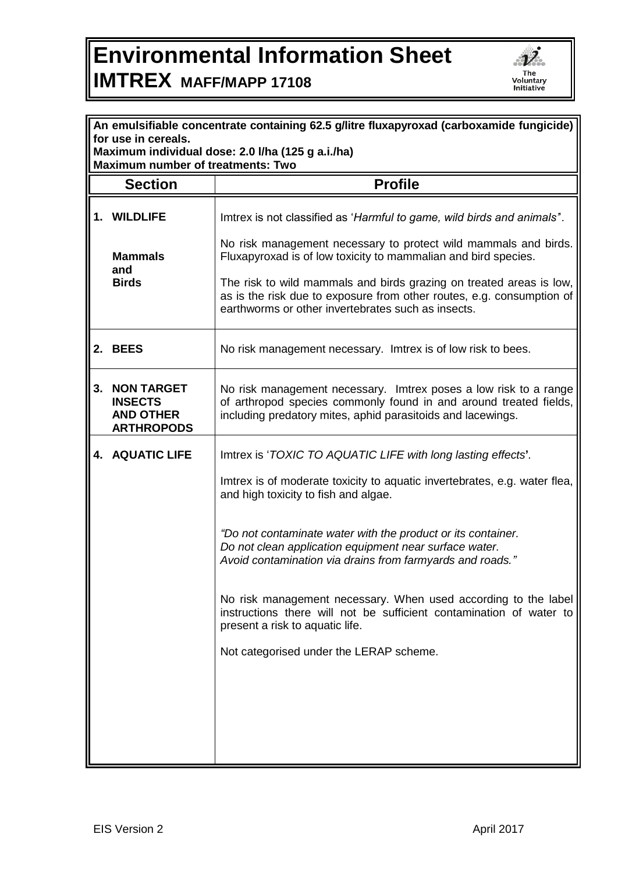## **Environmental Information Sheet IMTREX MAFF/MAPP 17108**



| An emulsifiable concentrate containing 62.5 g/litre fluxapyroxad (carboxamide fungicide) |                                                                              |                                                                                                                                                                                                      |  |
|------------------------------------------------------------------------------------------|------------------------------------------------------------------------------|------------------------------------------------------------------------------------------------------------------------------------------------------------------------------------------------------|--|
| for use in cereals.<br>Maximum individual dose: 2.0 I/ha (125 g a.i./ha)                 |                                                                              |                                                                                                                                                                                                      |  |
| <b>Maximum number of treatments: Two</b>                                                 |                                                                              |                                                                                                                                                                                                      |  |
|                                                                                          | <b>Section</b>                                                               | <b>Profile</b>                                                                                                                                                                                       |  |
|                                                                                          | 1. WILDLIFE                                                                  | Imtrex is not classified as 'Harmful to game, wild birds and animals".                                                                                                                               |  |
|                                                                                          | <b>Mammals</b><br>and<br><b>Birds</b>                                        | No risk management necessary to protect wild mammals and birds.<br>Fluxapyroxad is of low toxicity to mammalian and bird species.                                                                    |  |
|                                                                                          |                                                                              | The risk to wild mammals and birds grazing on treated areas is low,<br>as is the risk due to exposure from other routes, e.g. consumption of<br>earthworms or other invertebrates such as insects.   |  |
|                                                                                          | 2. BEES                                                                      | No risk management necessary. Imtrex is of low risk to bees.                                                                                                                                         |  |
| 3.                                                                                       | <b>NON TARGET</b><br><b>INSECTS</b><br><b>AND OTHER</b><br><b>ARTHROPODS</b> | No risk management necessary. Imtrex poses a low risk to a range<br>of arthropod species commonly found in and around treated fields,<br>including predatory mites, aphid parasitoids and lacewings. |  |
|                                                                                          | 4. AQUATIC LIFE                                                              | Imtrex is 'TOXIC TO AQUATIC LIFE with long lasting effects'.                                                                                                                                         |  |
|                                                                                          |                                                                              | Imtrex is of moderate toxicity to aquatic invertebrates, e.g. water flea,<br>and high toxicity to fish and algae.                                                                                    |  |
|                                                                                          |                                                                              | "Do not contaminate water with the product or its container.<br>Do not clean application equipment near surface water.<br>Avoid contamination via drains from farmyards and roads."                  |  |
|                                                                                          |                                                                              | No risk management necessary. When used according to the label<br>instructions there will not be sufficient contamination of water to<br>present a risk to aquatic life.                             |  |
|                                                                                          |                                                                              | Not categorised under the LERAP scheme.                                                                                                                                                              |  |
|                                                                                          |                                                                              |                                                                                                                                                                                                      |  |
|                                                                                          |                                                                              |                                                                                                                                                                                                      |  |